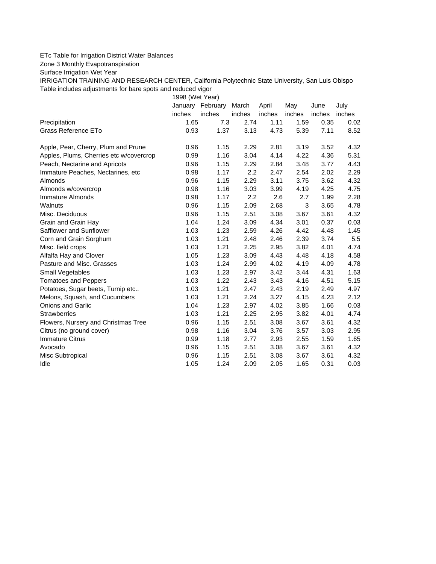## ETc Table for Irrigation District Water Balances

Zone 3 Monthly Evapotranspiration

Surface Irrigation Wet Year

IRRIGATION TRAINING AND RESEARCH CENTER, California Polytechnic State University, San Luis Obispo Table includes adjustments for bare spots and reduced vigor

1998 (Wet Year)

|                                         | January | February | March  | April  | May    | June   | July   |
|-----------------------------------------|---------|----------|--------|--------|--------|--------|--------|
|                                         | inches  | inches   | inches | inches | inches | inches | inches |
| Precipitation                           | 1.65    | 7.3      | 2.74   | 1.11   | 1.59   | 0.35   | 0.02   |
| Grass Reference ETo                     | 0.93    | 1.37     | 3.13   | 4.73   | 5.39   | 7.11   | 8.52   |
| Apple, Pear, Cherry, Plum and Prune     | 0.96    | 1.15     | 2.29   | 2.81   | 3.19   | 3.52   | 4.32   |
| Apples, Plums, Cherries etc w/covercrop | 0.99    | 1.16     | 3.04   | 4.14   | 4.22   | 4.36   | 5.31   |
| Peach, Nectarine and Apricots           | 0.96    | 1.15     | 2.29   | 2.84   | 3.48   | 3.77   | 4.43   |
| Immature Peaches, Nectarines, etc       | 0.98    | 1.17     | 2.2    | 2.47   | 2.54   | 2.02   | 2.29   |
| Almonds                                 | 0.96    | 1.15     | 2.29   | 3.11   | 3.75   | 3.62   | 4.32   |
| Almonds w/covercrop                     | 0.98    | 1.16     | 3.03   | 3.99   | 4.19   | 4.25   | 4.75   |
| Immature Almonds                        | 0.98    | 1.17     | 2.2    | 2.6    | 2.7    | 1.99   | 2.28   |
| Walnuts                                 | 0.96    | 1.15     | 2.09   | 2.68   | 3      | 3.65   | 4.78   |
| Misc. Deciduous                         | 0.96    | 1.15     | 2.51   | 3.08   | 3.67   | 3.61   | 4.32   |
| Grain and Grain Hay                     | 1.04    | 1.24     | 3.09   | 4.34   | 3.01   | 0.37   | 0.03   |
| Safflower and Sunflower                 | 1.03    | 1.23     | 2.59   | 4.26   | 4.42   | 4.48   | 1.45   |
| Corn and Grain Sorghum                  | 1.03    | 1.21     | 2.48   | 2.46   | 2.39   | 3.74   | 5.5    |
| Misc. field crops                       | 1.03    | 1.21     | 2.25   | 2.95   | 3.82   | 4.01   | 4.74   |
| Alfalfa Hay and Clover                  | 1.05    | 1.23     | 3.09   | 4.43   | 4.48   | 4.18   | 4.58   |
| Pasture and Misc. Grasses               | 1.03    | 1.24     | 2.99   | 4.02   | 4.19   | 4.09   | 4.78   |
| Small Vegetables                        | 1.03    | 1.23     | 2.97   | 3.42   | 3.44   | 4.31   | 1.63   |
| <b>Tomatoes and Peppers</b>             | 1.03    | 1.22     | 2.43   | 3.43   | 4.16   | 4.51   | 5.15   |
| Potatoes, Sugar beets, Turnip etc       | 1.03    | 1.21     | 2.47   | 2.43   | 2.19   | 2.49   | 4.97   |
| Melons, Squash, and Cucumbers           | 1.03    | 1.21     | 2.24   | 3.27   | 4.15   | 4.23   | 2.12   |
| <b>Onions and Garlic</b>                | 1.04    | 1.23     | 2.97   | 4.02   | 3.85   | 1.66   | 0.03   |
| <b>Strawberries</b>                     | 1.03    | 1.21     | 2.25   | 2.95   | 3.82   | 4.01   | 4.74   |
| Flowers, Nursery and Christmas Tree     | 0.96    | 1.15     | 2.51   | 3.08   | 3.67   | 3.61   | 4.32   |
| Citrus (no ground cover)                | 0.98    | 1.16     | 3.04   | 3.76   | 3.57   | 3.03   | 2.95   |
| <b>Immature Citrus</b>                  | 0.99    | 1.18     | 2.77   | 2.93   | 2.55   | 1.59   | 1.65   |
| Avocado                                 | 0.96    | 1.15     | 2.51   | 3.08   | 3.67   | 3.61   | 4.32   |
| Misc Subtropical                        | 0.96    | 1.15     | 2.51   | 3.08   | 3.67   | 3.61   | 4.32   |
| Idle                                    | 1.05    | 1.24     | 2.09   | 2.05   | 1.65   | 0.31   | 0.03   |